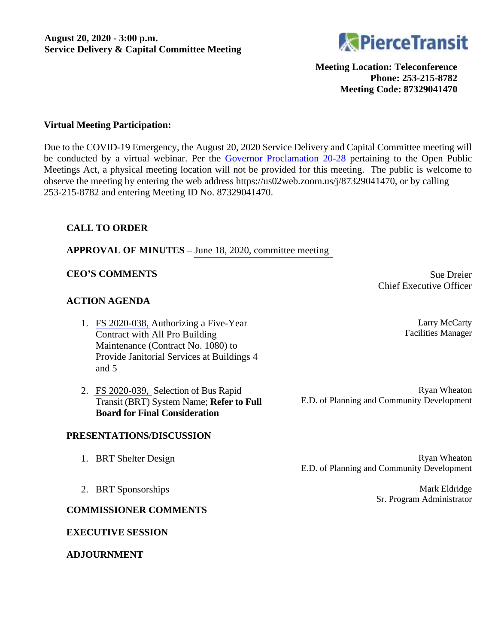

**Meeting Location: Teleconference Phone: 253-215-8782 Meeting Code: 87329041470**

# **Virtual Meeting Participation:**

Due to the COVID-19 Emergency, the August 20, 2020 Service Delivery and Capital Committee meeting will be conducted by a virtual webinar. Per the [Governor Proclamation 20-28](https://www.governor.wa.gov/sites/default/files/proclamations/20-28%20-%20COVID-19%20Open%20Govt%20Laws%20Waivers%20%28tmp%29.pdf) pertaining to the Open Public Meetings Act, a physical meeting location will not be provided for this meeting. The public is welcome to observe the meeting by entering the web address https://us02web.zoom.us/j/87329041470, or by calling 253-215-8782 and entering Meeting ID No. 87329041470.

# **CALL TO ORDER**

**APPROVAL OF MINUTES –** June 18, [2020, committee](#page-1-0) meeting

#### **CEO'S COMMENTS** Sue Dreier

# **ACTION AGENDA**

- 1. [FS 2020-038,](#page-5-0) Authorizing a Five-Year Contract with All Pro Building Maintenance (Contract No. 1080) to Provide Janitorial Services at Buildings 4 and 5
- 2. [FS 2020-039,](#page-7-0) Selection of Bus Rapid Transit (BRT) System Name; **Refer to Full Board for Final Consideration**

Chief Executive Officer

Larry McCarty Facilities Manager

Ryan Wheaton E.D. of Planning and Community Development

#### **PRESENTATIONS/DISCUSSION**

- 
- 1. BRT Shelter Design and the state of the state of the state Ryan Wheaton Ryan Wheaton E.D. of Planning and Community Development
- 2. BRT Sponsorships Mark Eldridge Sr. Program Administrator
- 

# **COMMISSIONER COMMENTS**

#### **EXECUTIVE SESSION**

### **ADJOURNMENT**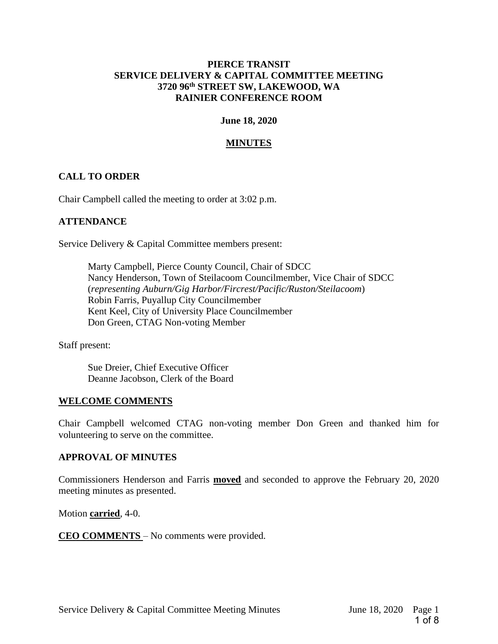# <span id="page-1-0"></span>**PIERCE TRANSIT SERVICE DELIVERY & CAPITAL COMMITTEE MEETING 3720 96th STREET SW, LAKEWOOD, WA RAINIER CONFERENCE ROOM**

#### **June 18, 2020**

# **MINUTES**

# **CALL TO ORDER**

Chair Campbell called the meeting to order at 3:02 p.m.

# **ATTENDANCE**

Service Delivery & Capital Committee members present:

Marty Campbell, Pierce County Council, Chair of SDCC Nancy Henderson, Town of Steilacoom Councilmember, Vice Chair of SDCC (*representing Auburn/Gig Harbor/Fircrest/Pacific/Ruston/Steilacoom*) Robin Farris, Puyallup City Councilmember Kent Keel, City of University Place Councilmember Don Green, CTAG Non-voting Member

Staff present:

Sue Dreier, Chief Executive Officer Deanne Jacobson, Clerk of the Board

#### **WELCOME COMMENTS**

Chair Campbell welcomed CTAG non-voting member Don Green and thanked him for volunteering to serve on the committee.

#### **APPROVAL OF MINUTES**

Commissioners Henderson and Farris **moved** and seconded to approve the February 20, 2020 meeting minutes as presented.

Motion **carried**, 4-0.

**CEO COMMENTS** – No comments were provided.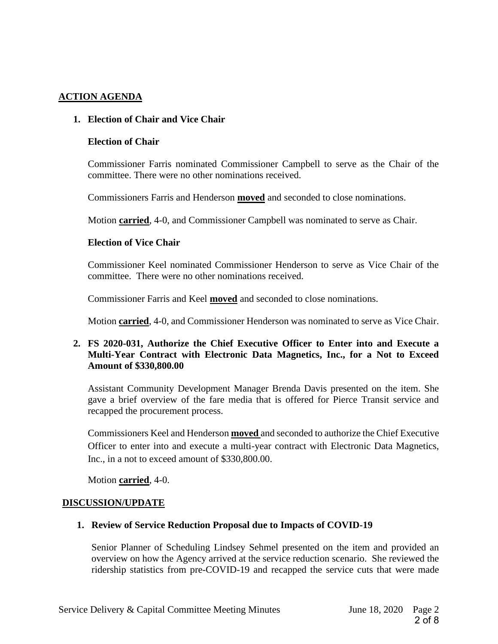# **ACTION AGENDA**

# **1. Election of Chair and Vice Chair**

#### **Election of Chair**

Commissioner Farris nominated Commissioner Campbell to serve as the Chair of the committee. There were no other nominations received.

Commissioners Farris and Henderson **moved** and seconded to close nominations.

Motion **carried**, 4-0, and Commissioner Campbell was nominated to serve as Chair.

#### **Election of Vice Chair**

Commissioner Keel nominated Commissioner Henderson to serve as Vice Chair of the committee. There were no other nominations received.

Commissioner Farris and Keel **moved** and seconded to close nominations.

Motion **carried**, 4-0, and Commissioner Henderson was nominated to serve as Vice Chair.

# **2. FS 2020-031, Authorize the Chief Executive Officer to Enter into and Execute a Multi-Year Contract with Electronic Data Magnetics, Inc., for a Not to Exceed Amount of \$330,800.00**

Assistant Community Development Manager Brenda Davis presented on the item. She gave a brief overview of the fare media that is offered for Pierce Transit service and recapped the procurement process.

Commissioners Keel and Henderson **moved** and seconded to authorize the Chief Executive Officer to enter into and execute a multi-year contract with Electronic Data Magnetics, Inc., in a not to exceed amount of \$330,800.00.

Motion **carried**, 4-0.

# **DISCUSSION/UPDATE**

# **1. Review of Service Reduction Proposal due to Impacts of COVID-19**

Senior Planner of Scheduling Lindsey Sehmel presented on the item and provided an overview on how the Agency arrived at the service reduction scenario. She reviewed the ridership statistics from pre-COVID-19 and recapped the service cuts that were made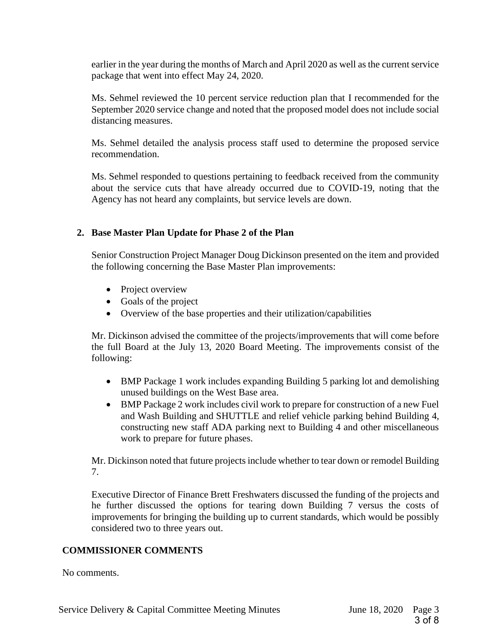earlier in the year during the months of March and April 2020 as well as the current service package that went into effect May 24, 2020.

Ms. Sehmel reviewed the 10 percent service reduction plan that I recommended for the September 2020 service change and noted that the proposed model does not include social distancing measures.

Ms. Sehmel detailed the analysis process staff used to determine the proposed service recommendation.

Ms. Sehmel responded to questions pertaining to feedback received from the community about the service cuts that have already occurred due to COVID-19, noting that the Agency has not heard any complaints, but service levels are down.

# **2. Base Master Plan Update for Phase 2 of the Plan**

Senior Construction Project Manager Doug Dickinson presented on the item and provided the following concerning the Base Master Plan improvements:

- Project overview
- Goals of the project
- Overview of the base properties and their utilization/capabilities

Mr. Dickinson advised the committee of the projects/improvements that will come before the full Board at the July 13, 2020 Board Meeting. The improvements consist of the following:

- BMP Package 1 work includes expanding Building 5 parking lot and demolishing unused buildings on the West Base area.
- BMP Package 2 work includes civil work to prepare for construction of a new Fuel and Wash Building and SHUTTLE and relief vehicle parking behind Building 4, constructing new staff ADA parking next to Building 4 and other miscellaneous work to prepare for future phases.

Mr. Dickinson noted that future projects include whether to tear down or remodel Building 7.

Executive Director of Finance Brett Freshwaters discussed the funding of the projects and he further discussed the options for tearing down Building 7 versus the costs of improvements for bringing the building up to current standards, which would be possibly considered two to three years out.

# **COMMISSIONER COMMENTS**

No comments.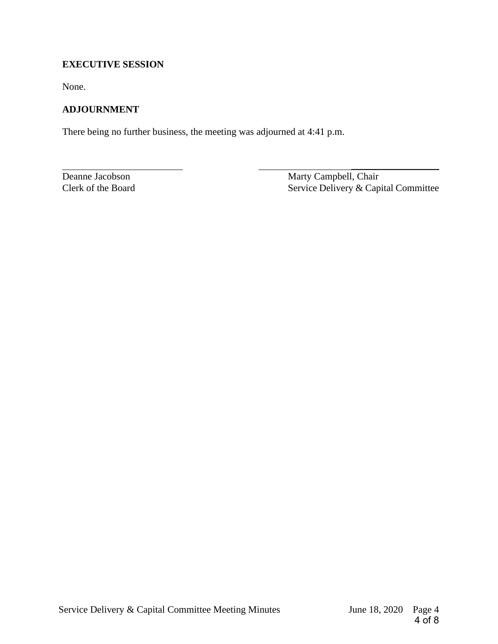# **EXECUTIVE SESSION**

None.

# **ADJOURNMENT**

There being no further business, the meeting was adjourned at 4:41 p.m.

Deanne Jacobson Marty Campbell, Chair Clerk of the Board Service Delivery & Capital Committee

 $\frac{1}{2}$  , the state of the state of the state of the state of the state of the state of the state of the state of the state of the state of the state of the state of the state of the state of the state of the state of t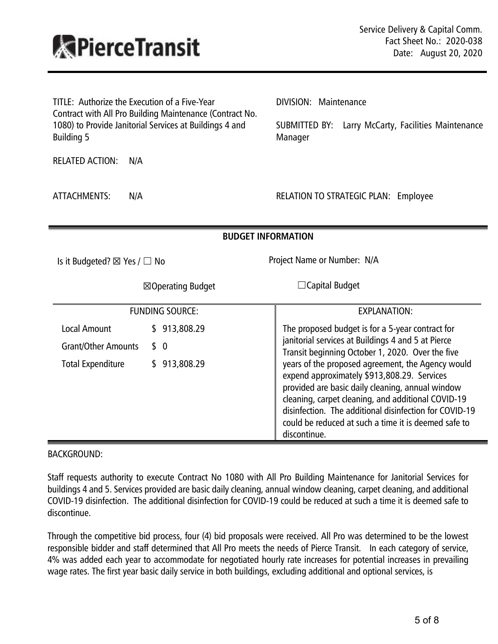<span id="page-5-0"></span>

<span id="page-5-1"></span>

| TITLE: Authorize the Execution of a Five-Year<br>Contract with All Pro Building Maintenance (Contract No.<br>1080) to Provide Janitorial Services at Buildings 4 and | DIVISION: Maintenance<br>SUBMITTED BY: Larry McCarty, Facilities Maintenance                                                                                                                                                                                                                                                                 |
|----------------------------------------------------------------------------------------------------------------------------------------------------------------------|----------------------------------------------------------------------------------------------------------------------------------------------------------------------------------------------------------------------------------------------------------------------------------------------------------------------------------------------|
| <b>Building 5</b>                                                                                                                                                    | Manager                                                                                                                                                                                                                                                                                                                                      |
| <b>RELATED ACTION:</b><br>N/A                                                                                                                                        |                                                                                                                                                                                                                                                                                                                                              |
| N/A<br>ATTACHMENTS:                                                                                                                                                  | <b>RELATION TO STRATEGIC PLAN: Employee</b>                                                                                                                                                                                                                                                                                                  |
| <b>BUDGET INFORMATION</b>                                                                                                                                            |                                                                                                                                                                                                                                                                                                                                              |
| Is it Budgeted? $\boxtimes$ Yes / $\Box$ No                                                                                                                          | Project Name or Number: N/A                                                                                                                                                                                                                                                                                                                  |
| ⊠Operating Budget                                                                                                                                                    | $\Box$ Capital Budget                                                                                                                                                                                                                                                                                                                        |
| <b>FUNDING SOURCE:</b>                                                                                                                                               | <b>EXPLANATION:</b>                                                                                                                                                                                                                                                                                                                          |
| Local Amount<br>\$913,808.29                                                                                                                                         | The proposed budget is for a 5-year contract for                                                                                                                                                                                                                                                                                             |
| <b>Grant/Other Amounts</b><br>\$0                                                                                                                                    | janitorial services at Buildings 4 and 5 at Pierce<br>Transit beginning October 1, 2020. Over the five                                                                                                                                                                                                                                       |
| <b>Total Expenditure</b><br>\$913,808.29                                                                                                                             | years of the proposed agreement, the Agency would<br>expend approximately \$913,808.29. Services<br>provided are basic daily cleaning, annual window<br>cleaning, carpet cleaning, and additional COVID-19<br>disinfection. The additional disinfection for COVID-19<br>could be reduced at such a time it is deemed safe to<br>discontinue. |

# [BACKGROUND:](#page-5-1)

Staff requests authority to execute Contract No 1080 with All Pro Building Maintenance for Janitorial Services for buildings 4 and 5. Services provided are basic daily cleaning, annual window cleaning, carpet cleaning, and additional COVID-19 disinfection. The additional disinfection for COVID-19 could be reduced at such a time it is deemed safe to discontinue.

Through the competitive bid process, four (4) bid proposals were received. All Pro was determined to be the lowest responsible bidder and staff determined that All Pro meets the needs of Pierce Transit. In each category of service, 4% was added each year to accommodate for negotiated hourly rate increases for potential increases in prevailing wage rates. The first year basic daily service in both buildings, excluding additional and optional services, is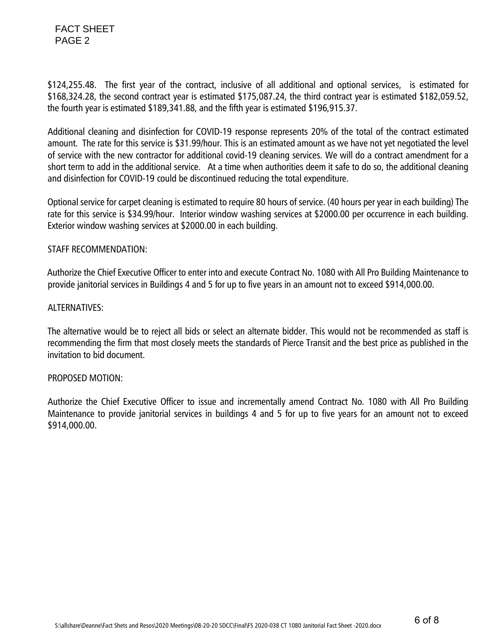FACT SHEET PAGE 2

\$124,255.48. The first year of the contract, inclusive of all additional and optional services, is estimated for \$168,324.28, the second contract year is estimated \$175,087.24, the third contract year is estimated \$182,059.52, the fourth year is estimated \$189,341.88, and the fifth year is estimated \$196,915.37.

Additional cleaning and disinfection for COVID-19 response represents 20% of the total of the contract estimated amount. The rate for this service is \$31.99/hour. This is an estimated amount as we have not yet negotiated the level of service with the new contractor for additional covid-19 cleaning services. We will do a contract amendment for a short term to add in the additional service. At a time when authorities deem it safe to do so, the additional cleaning and disinfection for COVID-19 could be discontinued reducing the total expenditure.

Optional service for carpet cleaning is estimated to require 80 hours of service. (40 hours per year in each building) The rate for this service is \$34.99/hour. Interior window washing services at \$2000.00 per occurrence in each building. Exterior window washing services at \$2000.00 in each building.

# [STAFF RECOMMENDATION:](#page-5-1)

 Authorize the Chief Executive Officer to enter into and execute Contract No. 1080 with All Pro Building Maintenance to provide janitorial services in Buildings 4 and 5 for up to five years in an amount not to exceed \$914,000.00.

# [ALTERNATIVES:](#page-5-1)

The alternative would be to reject all bids or select an alternate bidder. This would not be recommended as staff is recommending the firm that most closely meets the standards of Pierce Transit and the best price as published in the invitation to bid document.

# [PROPOSED MOTION:](#page-5-1)

Authorize the Chief Executive Officer to issue and incrementally amend Contract No. 1080 with All Pro Building Maintenance to provide janitorial services in buildings 4 and 5 for up to five years for an amount not to exceed \$914,000.00.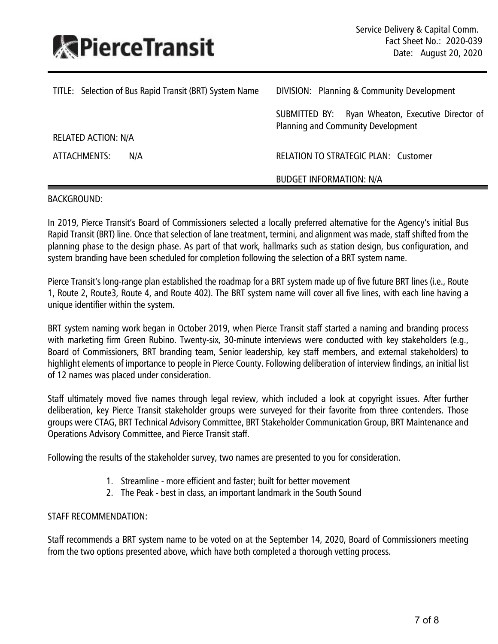<span id="page-7-0"></span>

<span id="page-7-1"></span>

| TITLE: Selection of Bus Rapid Transit (BRT) System Name | DIVISION: Planning & Community Development                                              |
|---------------------------------------------------------|-----------------------------------------------------------------------------------------|
| <b>RELATED ACTION: N/A</b>                              | SUBMITTED BY: Ryan Wheaton, Executive Director of<br>Planning and Community Development |
| ATTACHMENTS:<br>N/A                                     | <b>RELATION TO STRATEGIC PLAN: Customer</b>                                             |
|                                                         | <b>BUDGET INFORMATION: N/A</b>                                                          |
|                                                         |                                                                                         |

# [BACKGROUND:](#page-7-1)

In 2019, Pierce Transit's Board of Commissioners selected a locally preferred alternative for the Agency's initial Bus Rapid Transit (BRT) line. Once that selection of lane treatment, termini, and alignment was made, staff shifted from the planning phase to the design phase. As part of that work, hallmarks such as station design, bus configuration, and system branding have been scheduled for completion following the selection of a BRT system name.

Pierce Transit's long-range plan established the roadmap for a BRT system made up of five future BRT lines (i.e., Route 1, Route 2, Route3, Route 4, and Route 402). The BRT system name will cover all five lines, with each line having a unique identifier within the system.

BRT system naming work began in October 2019, when Pierce Transit staff started a naming and branding process with marketing firm Green Rubino. Twenty-six, 30-minute interviews were conducted with key stakeholders (e.g., Board of Commissioners, BRT branding team, Senior leadership, key staff members, and external stakeholders) to highlight elements of importance to people in Pierce County. Following deliberation of interview findings, an initial list of 12 names was placed under consideration.

Staff ultimately moved five names through legal review, which included a look at copyright issues. After further deliberation, key Pierce Transit stakeholder groups were surveyed for their favorite from three contenders. Those groups were CTAG, BRT Technical Advisory Committee, BRT Stakeholder Communication Group, BRT Maintenance and Operations Advisory Committee, and Pierce Transit staff.

Following the results of the stakeholder survey, two names are presented to you for consideration.

- 1. Streamline more efficient and faster; built for better movement
- 2. The Peak best in class, an important landmark in the South Sound

# [STAFF RECOMMENDATION:](#page-7-1)

Staff recommends a BRT system name to be voted on at the September 14, 2020, Board of Commissioners meeting from the two options presented above, which have both completed a thorough vetting process.